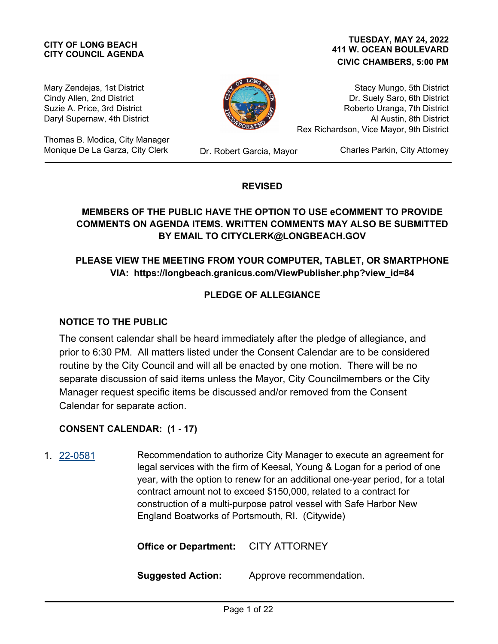# **CITY COUNCIL AGENDA**

#### **411 W. OCEAN BOULEVARD CIVIC CHAMBERS, 5:00 PM CITY OF LONG BEACH TUESDAY, MAY 24, 2022**

Mary Zendejas, 1st District Cindy Allen, 2nd District Suzie A. Price, 3rd District Daryl Supernaw, 4th District

Thomas B. Modica, City Manager Monique De La Garza, City Clerk Dr. Robert Garcia, Mayor



Stacy Mungo, 5th District Dr. Suely Saro, 6th District Roberto Uranga, 7th District Al Austin, 8th District Rex Richardson, Vice Mayor, 9th District

Charles Parkin, City Attorney

## **REVISED**

# **MEMBERS OF THE PUBLIC HAVE THE OPTION TO USE eCOMMENT TO PROVIDE COMMENTS ON AGENDA ITEMS. WRITTEN COMMENTS MAY ALSO BE SUBMITTED BY EMAIL TO CITYCLERK@LONGBEACH.GOV**

# **PLEASE VIEW THE MEETING FROM YOUR COMPUTER, TABLET, OR SMARTPHONE VIA: https://longbeach.granicus.com/ViewPublisher.php?view\_id=84**

## **PLEDGE OF ALLEGIANCE**

## **NOTICE TO THE PUBLIC**

The consent calendar shall be heard immediately after the pledge of allegiance, and prior to 6:30 PM. All matters listed under the Consent Calendar are to be considered routine by the City Council and will all be enacted by one motion. There will be no separate discussion of said items unless the Mayor, City Councilmembers or the City Manager request specific items be discussed and/or removed from the Consent Calendar for separate action.

## **CONSENT CALENDAR: (1 - 17)**

Recommendation to authorize City Manager to execute an agreement for legal services with the firm of Keesal, Young & Logan for a period of one year, with the option to renew for an additional one-year period, for a total contract amount not to exceed \$150,000, related to a contract for construction of a multi-purpose patrol vessel with Safe Harbor New England Boatworks of Portsmouth, RI. (Citywide) 1. [22-0581](http://longbeach.legistar.com/gateway.aspx?M=L&ID=239649)

**Office or Department:** CITY ATTORNEY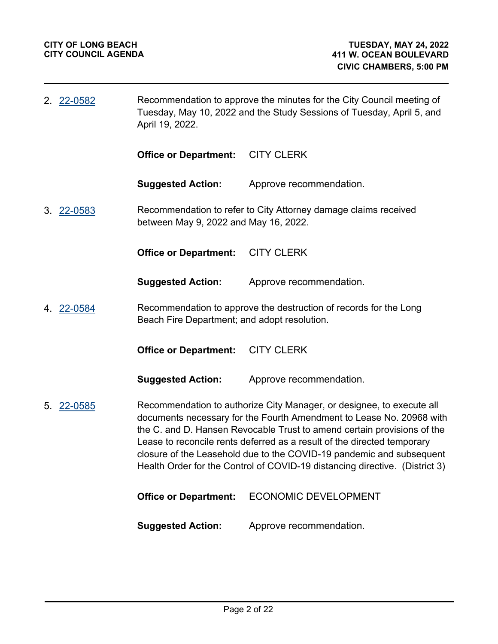| 2. 22-0582 | April 19, 2022.                              | Recommendation to approve the minutes for the City Council meeting of<br>Tuesday, May 10, 2022 and the Study Sessions of Tuesday, April 5, and                                                                                                                                                                                                                                                                                                             |
|------------|----------------------------------------------|------------------------------------------------------------------------------------------------------------------------------------------------------------------------------------------------------------------------------------------------------------------------------------------------------------------------------------------------------------------------------------------------------------------------------------------------------------|
|            | <b>Office or Department:</b>                 | <b>CITY CLERK</b>                                                                                                                                                                                                                                                                                                                                                                                                                                          |
|            | <b>Suggested Action:</b>                     | Approve recommendation.                                                                                                                                                                                                                                                                                                                                                                                                                                    |
| 3. 22-0583 | between May 9, 2022 and May 16, 2022.        | Recommendation to refer to City Attorney damage claims received                                                                                                                                                                                                                                                                                                                                                                                            |
|            | <b>Office or Department:</b>                 | <b>CITY CLERK</b>                                                                                                                                                                                                                                                                                                                                                                                                                                          |
|            | <b>Suggested Action:</b>                     | Approve recommendation.                                                                                                                                                                                                                                                                                                                                                                                                                                    |
| 4. 22-0584 | Beach Fire Department; and adopt resolution. | Recommendation to approve the destruction of records for the Long                                                                                                                                                                                                                                                                                                                                                                                          |
|            | <b>Office or Department:</b>                 | <b>CITY CLERK</b>                                                                                                                                                                                                                                                                                                                                                                                                                                          |
|            | <b>Suggested Action:</b>                     | Approve recommendation.                                                                                                                                                                                                                                                                                                                                                                                                                                    |
| 5. 22-0585 |                                              | Recommendation to authorize City Manager, or designee, to execute all<br>documents necessary for the Fourth Amendment to Lease No. 20968 with<br>the C. and D. Hansen Revocable Trust to amend certain provisions of the<br>Lease to reconcile rents deferred as a result of the directed temporary<br>closure of the Leasehold due to the COVID-19 pandemic and subsequent<br>Health Order for the Control of COVID-19 distancing directive. (District 3) |
|            | <b>Office or Department:</b>                 | <b>ECONOMIC DEVELOPMENT</b>                                                                                                                                                                                                                                                                                                                                                                                                                                |
|            | <b>Suggested Action:</b>                     | Approve recommendation.                                                                                                                                                                                                                                                                                                                                                                                                                                    |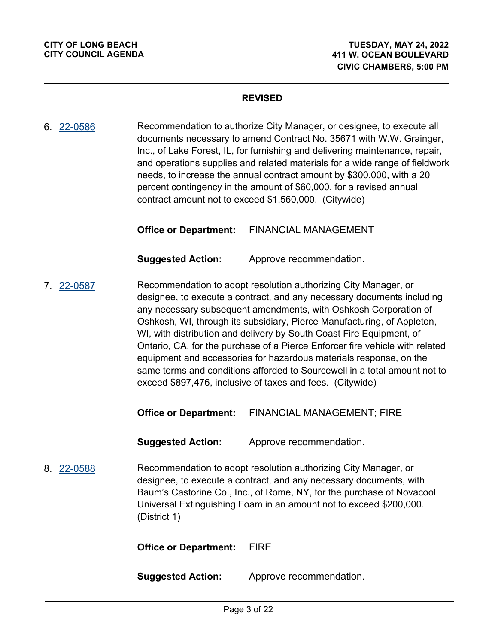Recommendation to authorize City Manager, or designee, to execute all documents necessary to amend Contract No. 35671 with W.W. Grainger, Inc., of Lake Forest, IL, for furnishing and delivering maintenance, repair, and operations supplies and related materials for a wide range of fieldwork needs, to increase the annual contract amount by \$300,000, with a 20 percent contingency in the amount of \$60,000, for a revised annual contract amount not to exceed \$1,560,000. (Citywide) 6. [22-0586](http://longbeach.legistar.com/gateway.aspx?M=L&ID=239518)

**Office or Department:** FINANCIAL MANAGEMENT

**Suggested Action:** Approve recommendation.

Recommendation to adopt resolution authorizing City Manager, or designee, to execute a contract, and any necessary documents including any necessary subsequent amendments, with Oshkosh Corporation of Oshkosh, WI, through its subsidiary, Pierce Manufacturing, of Appleton, WI, with distribution and delivery by South Coast Fire Equipment, of Ontario, CA, for the purchase of a Pierce Enforcer fire vehicle with related equipment and accessories for hazardous materials response, on the same terms and conditions afforded to Sourcewell in a total amount not to exceed \$897,476, inclusive of taxes and fees. (Citywide) 7. [22-0587](http://longbeach.legistar.com/gateway.aspx?M=L&ID=239554)

**Office or Department:** FINANCIAL MANAGEMENT; FIRE

**Suggested Action:** Approve recommendation.

Recommendation to adopt resolution authorizing City Manager, or designee, to execute a contract, and any necessary documents, with Baum's Castorine Co., Inc., of Rome, NY, for the purchase of Novacool Universal Extinguishing Foam in an amount not to exceed \$200,000. (District 1) 8. [22-0588](http://longbeach.legistar.com/gateway.aspx?M=L&ID=239527)

**Office or Department:** FIRE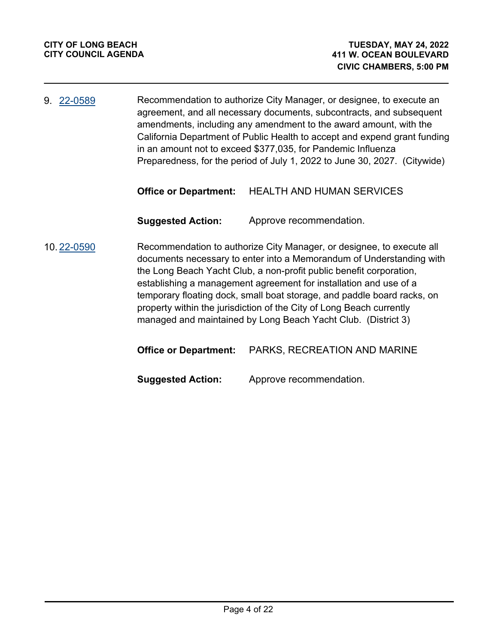Recommendation to authorize City Manager, or designee, to execute an agreement, and all necessary documents, subcontracts, and subsequent amendments, including any amendment to the award amount, with the California Department of Public Health to accept and expend grant funding in an amount not to exceed \$377,035, for Pandemic Influenza Preparedness, for the period of July 1, 2022 to June 30, 2027. (Citywide) 9. [22-0589](http://longbeach.legistar.com/gateway.aspx?M=L&ID=239552)

#### **Office or Department:** HEALTH AND HUMAN SERVICES

**Suggested Action:** Approve recommendation.

Recommendation to authorize City Manager, or designee, to execute all documents necessary to enter into a Memorandum of Understanding with the Long Beach Yacht Club, a non-profit public benefit corporation, establishing a management agreement for installation and use of a temporary floating dock, small boat storage, and paddle board racks, on property within the jurisdiction of the City of Long Beach currently managed and maintained by Long Beach Yacht Club. (District 3) 10. [22-0590](http://longbeach.legistar.com/gateway.aspx?M=L&ID=239533)

|  | <b>Office or Department:</b> PARKS, RECREATION AND MARINE |
|--|-----------------------------------------------------------|
|--|-----------------------------------------------------------|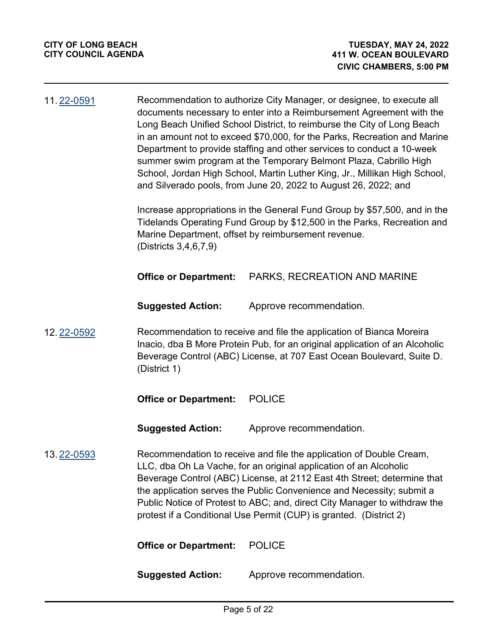| 11.22-0591 | Recommendation to authorize City Manager, or designee, to execute all<br>documents necessary to enter into a Reimbursement Agreement with the<br>Long Beach Unified School District, to reimburse the City of Long Beach<br>in an amount not to exceed \$70,000, for the Parks, Recreation and Marine<br>Department to provide staffing and other services to conduct a 10-week<br>summer swim program at the Temporary Belmont Plaza, Cabrillo High<br>School, Jordan High School, Martin Luther King, Jr., Millikan High School,<br>and Silverado pools, from June 20, 2022 to August 26, 2022; and |                                                                                                                                                                                                                                                                                                                                                                                                                                                 |
|------------|-------------------------------------------------------------------------------------------------------------------------------------------------------------------------------------------------------------------------------------------------------------------------------------------------------------------------------------------------------------------------------------------------------------------------------------------------------------------------------------------------------------------------------------------------------------------------------------------------------|-------------------------------------------------------------------------------------------------------------------------------------------------------------------------------------------------------------------------------------------------------------------------------------------------------------------------------------------------------------------------------------------------------------------------------------------------|
|            | (Districts 3,4,6,7,9)                                                                                                                                                                                                                                                                                                                                                                                                                                                                                                                                                                                 | Increase appropriations in the General Fund Group by \$57,500, and in the<br>Tidelands Operating Fund Group by \$12,500 in the Parks, Recreation and<br>Marine Department, offset by reimbursement revenue.                                                                                                                                                                                                                                     |
|            | <b>Office or Department:</b>                                                                                                                                                                                                                                                                                                                                                                                                                                                                                                                                                                          | PARKS, RECREATION AND MARINE                                                                                                                                                                                                                                                                                                                                                                                                                    |
|            | <b>Suggested Action:</b>                                                                                                                                                                                                                                                                                                                                                                                                                                                                                                                                                                              | Approve recommendation.                                                                                                                                                                                                                                                                                                                                                                                                                         |
| 12.22-0592 | (District 1)                                                                                                                                                                                                                                                                                                                                                                                                                                                                                                                                                                                          | Recommendation to receive and file the application of Bianca Moreira<br>Inacio, dba B More Protein Pub, for an original application of an Alcoholic<br>Beverage Control (ABC) License, at 707 East Ocean Boulevard, Suite D.                                                                                                                                                                                                                    |
|            | <b>Office or Department:</b>                                                                                                                                                                                                                                                                                                                                                                                                                                                                                                                                                                          | <b>POLICE</b>                                                                                                                                                                                                                                                                                                                                                                                                                                   |
|            | <b>Suggested Action:</b>                                                                                                                                                                                                                                                                                                                                                                                                                                                                                                                                                                              | Approve recommendation.                                                                                                                                                                                                                                                                                                                                                                                                                         |
| 13.22-0593 |                                                                                                                                                                                                                                                                                                                                                                                                                                                                                                                                                                                                       | Recommendation to receive and file the application of Double Cream,<br>LLC, dba Oh La Vache, for an original application of an Alcoholic<br>Beverage Control (ABC) License, at 2112 East 4th Street; determine that<br>the application serves the Public Convenience and Necessity; submit a<br>Public Notice of Protest to ABC; and, direct City Manager to withdraw the<br>protest if a Conditional Use Permit (CUP) is granted. (District 2) |
|            | <b>Office or Department:</b>                                                                                                                                                                                                                                                                                                                                                                                                                                                                                                                                                                          | <b>POLICE</b>                                                                                                                                                                                                                                                                                                                                                                                                                                   |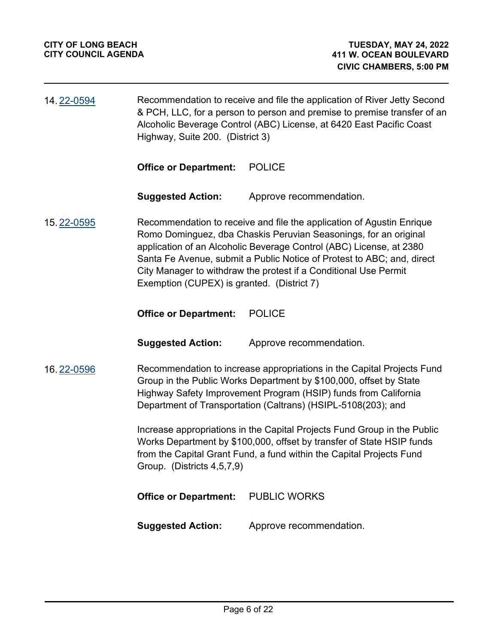| 14.22-0594 | Recommendation to receive and file the application of River Jetty Second<br>& PCH, LLC, for a person to person and premise to premise transfer of an<br>Alcoholic Beverage Control (ABC) License, at 6420 East Pacific Coast<br>Highway, Suite 200. (District 3) |                                                                                                                                                                                                                                                                                                                                                                |
|------------|------------------------------------------------------------------------------------------------------------------------------------------------------------------------------------------------------------------------------------------------------------------|----------------------------------------------------------------------------------------------------------------------------------------------------------------------------------------------------------------------------------------------------------------------------------------------------------------------------------------------------------------|
|            | <b>Office or Department:</b>                                                                                                                                                                                                                                     | <b>POLICE</b>                                                                                                                                                                                                                                                                                                                                                  |
|            | <b>Suggested Action:</b>                                                                                                                                                                                                                                         | Approve recommendation.                                                                                                                                                                                                                                                                                                                                        |
| 15.22-0595 | Exemption (CUPEX) is granted. (District 7)                                                                                                                                                                                                                       | Recommendation to receive and file the application of Agustin Enrique<br>Romo Dominguez, dba Chaskis Peruvian Seasonings, for an original<br>application of an Alcoholic Beverage Control (ABC) License, at 2380<br>Santa Fe Avenue, submit a Public Notice of Protest to ABC; and, direct<br>City Manager to withdraw the protest if a Conditional Use Permit |
|            | <b>Office or Department:</b>                                                                                                                                                                                                                                     | <b>POLICE</b>                                                                                                                                                                                                                                                                                                                                                  |
|            | <b>Suggested Action:</b>                                                                                                                                                                                                                                         | Approve recommendation.                                                                                                                                                                                                                                                                                                                                        |
| 16.22-0596 |                                                                                                                                                                                                                                                                  | Recommendation to increase appropriations in the Capital Projects Fund<br>Group in the Public Works Department by \$100,000, offset by State<br>Highway Safety Improvement Program (HSIP) funds from California<br>Department of Transportation (Caltrans) (HSIPL-5108(203); and                                                                               |
|            | Group. (Districts 4,5,7,9)                                                                                                                                                                                                                                       | Increase appropriations in the Capital Projects Fund Group in the Public<br>Works Department by \$100,000, offset by transfer of State HSIP funds<br>from the Capital Grant Fund, a fund within the Capital Projects Fund                                                                                                                                      |
|            | <b>Office or Department:</b>                                                                                                                                                                                                                                     | <b>PUBLIC WORKS</b>                                                                                                                                                                                                                                                                                                                                            |
|            | <b>Suggested Action:</b>                                                                                                                                                                                                                                         | Approve recommendation.                                                                                                                                                                                                                                                                                                                                        |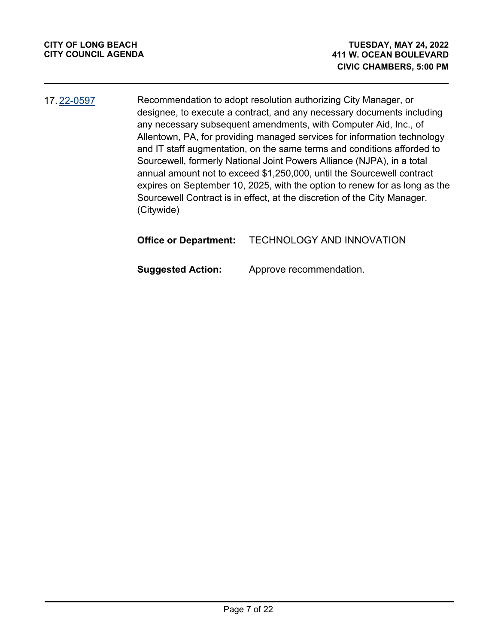Recommendation to adopt resolution authorizing City Manager, or designee, to execute a contract, and any necessary documents including any necessary subsequent amendments, with Computer Aid, Inc., of Allentown, PA, for providing managed services for information technology and IT staff augmentation, on the same terms and conditions afforded to Sourcewell, formerly National Joint Powers Alliance (NJPA), in a total annual amount not to exceed \$1,250,000, until the Sourcewell contract expires on September 10, 2025, with the option to renew for as long as the Sourcewell Contract is in effect, at the discretion of the City Manager. (Citywide) 17. [22-0597](http://longbeach.legistar.com/gateway.aspx?M=L&ID=238652)

## **Office or Department:** TECHNOLOGY AND INNOVATION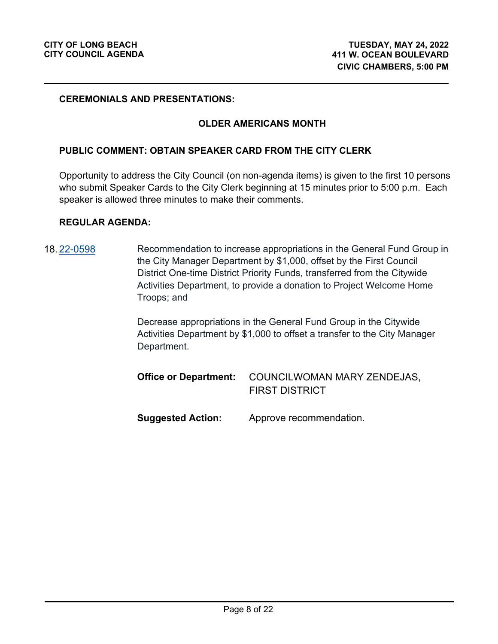#### **CEREMONIALS AND PRESENTATIONS:**

#### **OLDER AMERICANS MONTH**

#### **PUBLIC COMMENT: OBTAIN SPEAKER CARD FROM THE CITY CLERK**

Opportunity to address the City Council (on non-agenda items) is given to the first 10 persons who submit Speaker Cards to the City Clerk beginning at 15 minutes prior to 5:00 p.m. Each speaker is allowed three minutes to make their comments.

#### **REGULAR AGENDA:**

Recommendation to increase appropriations in the General Fund Group in the City Manager Department by \$1,000, offset by the First Council District One-time District Priority Funds, transferred from the Citywide Activities Department, to provide a donation to Project Welcome Home Troops; and 18. [22-0598](http://longbeach.legistar.com/gateway.aspx?M=L&ID=239653)

> Decrease appropriations in the General Fund Group in the Citywide Activities Department by \$1,000 to offset a transfer to the City Manager Department.

|                   | <b>Office or Department:</b> COUNCILWOMAN MARY ZENDEJAS,<br><b>FIRST DISTRICT</b> |
|-------------------|-----------------------------------------------------------------------------------|
| Suggested Action: | Approve recommendation.                                                           |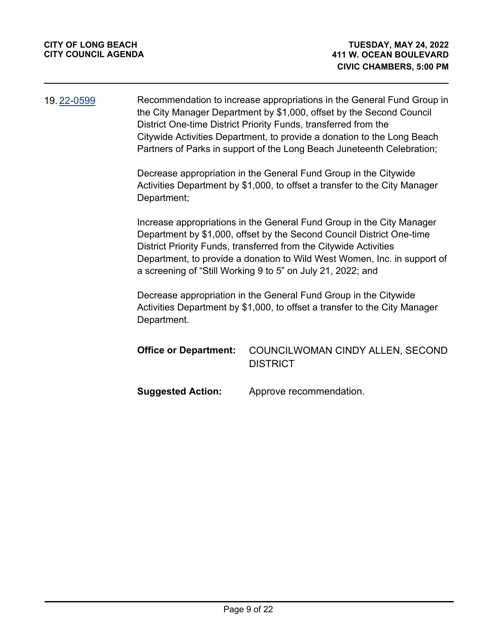| 19.22-0599 |                              | Recommendation to increase appropriations in the General Fund Group in<br>the City Manager Department by \$1,000, offset by the Second Council<br>District One-time District Priority Funds, transferred from the<br>Citywide Activities Department, to provide a donation to the Long Beach<br>Partners of Parks in support of the Long Beach Juneteenth Celebration; |
|------------|------------------------------|------------------------------------------------------------------------------------------------------------------------------------------------------------------------------------------------------------------------------------------------------------------------------------------------------------------------------------------------------------------------|
|            | Department;                  | Decrease appropriation in the General Fund Group in the Citywide<br>Activities Department by \$1,000, to offset a transfer to the City Manager                                                                                                                                                                                                                         |
|            |                              | Increase appropriations in the General Fund Group in the City Manager<br>Department by \$1,000, offset by the Second Council District One-time<br>District Priority Funds, transferred from the Citywide Activities<br>Department, to provide a donation to Wild West Women, Inc. in support of<br>a screening of "Still Working 9 to 5" on July 21, 2022; and         |
|            | Department.                  | Decrease appropriation in the General Fund Group in the Citywide<br>Activities Department by \$1,000, to offset a transfer to the City Manager                                                                                                                                                                                                                         |
|            | <b>Office or Department:</b> | COUNCILWOMAN CINDY ALLEN, SECOND<br><b>DISTRICT</b>                                                                                                                                                                                                                                                                                                                    |
|            | <b>Suggested Action:</b>     | Approve recommendation.                                                                                                                                                                                                                                                                                                                                                |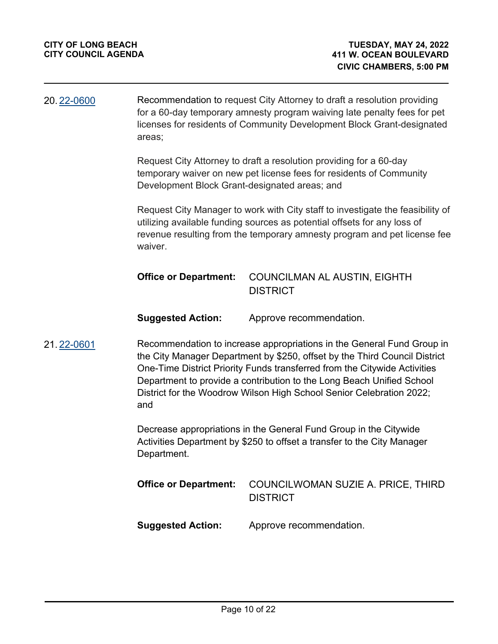| 20.22-0600 | Recommendation to request City Attorney to draft a resolution providing<br>for a 60-day temporary amnesty program waiving late penalty fees for pet<br>licenses for residents of Community Development Block Grant-designated<br>areas;                                                                                                                                                   |                                                                                                                                              |  |
|------------|-------------------------------------------------------------------------------------------------------------------------------------------------------------------------------------------------------------------------------------------------------------------------------------------------------------------------------------------------------------------------------------------|----------------------------------------------------------------------------------------------------------------------------------------------|--|
|            | Development Block Grant-designated areas; and                                                                                                                                                                                                                                                                                                                                             | Request City Attorney to draft a resolution providing for a 60-day<br>temporary waiver on new pet license fees for residents of Community    |  |
|            | Request City Manager to work with City staff to investigate the feasibility of<br>utilizing available funding sources as potential offsets for any loss of<br>revenue resulting from the temporary amnesty program and pet license fee<br>waiver.                                                                                                                                         |                                                                                                                                              |  |
|            | <b>Office or Department:</b>                                                                                                                                                                                                                                                                                                                                                              | <b>COUNCILMAN AL AUSTIN, EIGHTH</b><br><b>DISTRICT</b>                                                                                       |  |
|            | <b>Suggested Action:</b>                                                                                                                                                                                                                                                                                                                                                                  | Approve recommendation.                                                                                                                      |  |
| 21.22-0601 | Recommendation to increase appropriations in the General Fund Group in<br>the City Manager Department by \$250, offset by the Third Council District<br>One-Time District Priority Funds transferred from the Citywide Activities<br>Department to provide a contribution to the Long Beach Unified School<br>District for the Woodrow Wilson High School Senior Celebration 2022;<br>and |                                                                                                                                              |  |
|            | Department.                                                                                                                                                                                                                                                                                                                                                                               | Decrease appropriations in the General Fund Group in the Citywide<br>Activities Department by \$250 to offset a transfer to the City Manager |  |

|                   | <b>Office or Department:</b> COUNCILWOMAN SUZIE A. PRICE, THIRD<br><b>DISTRICT</b> |
|-------------------|------------------------------------------------------------------------------------|
| Suggested Action: | Approve recommendation.                                                            |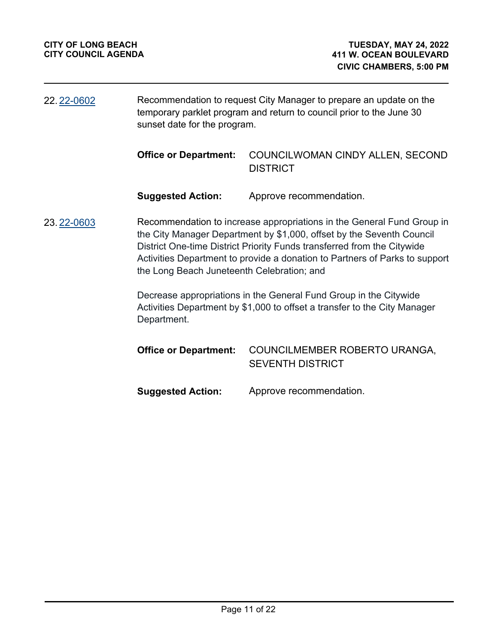| 22. 22-0602 | Recommendation to request City Manager to prepare an update on the<br>temporary parklet program and return to council prior to the June 30<br>sunset date for the program.                                                                                                                                                                              |                                                                                                                                                |
|-------------|---------------------------------------------------------------------------------------------------------------------------------------------------------------------------------------------------------------------------------------------------------------------------------------------------------------------------------------------------------|------------------------------------------------------------------------------------------------------------------------------------------------|
|             | <b>Office or Department:</b>                                                                                                                                                                                                                                                                                                                            | COUNCILWOMAN CINDY ALLEN, SECOND<br><b>DISTRICT</b>                                                                                            |
|             | <b>Suggested Action:</b>                                                                                                                                                                                                                                                                                                                                | Approve recommendation.                                                                                                                        |
| 23.22-0603  | Recommendation to increase appropriations in the General Fund Group in<br>the City Manager Department by \$1,000, offset by the Seventh Council<br>District One-time District Priority Funds transferred from the Citywide<br>Activities Department to provide a donation to Partners of Parks to support<br>the Long Beach Juneteenth Celebration; and |                                                                                                                                                |
|             | Department.                                                                                                                                                                                                                                                                                                                                             | Decrease appropriations in the General Fund Group in the Citywide<br>Activities Department by \$1,000 to offset a transfer to the City Manager |
|             | <b>Office or Department:</b>                                                                                                                                                                                                                                                                                                                            | COUNCILMEMBER ROBERTO URANGA,<br><b>SEVENTH DISTRICT</b>                                                                                       |
|             | <b>Suggested Action:</b>                                                                                                                                                                                                                                                                                                                                | Approve recommendation.                                                                                                                        |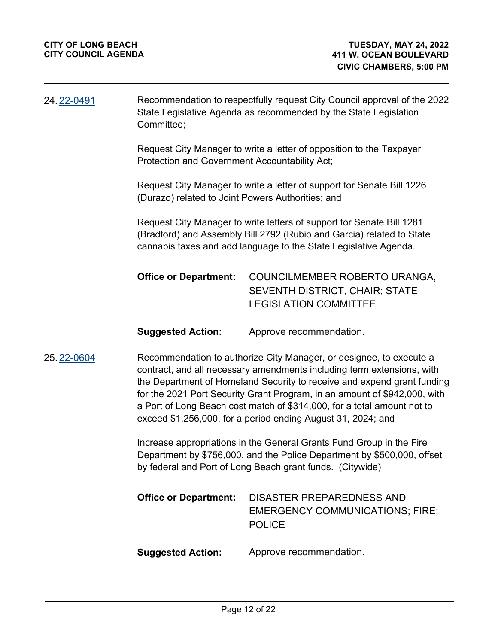| 24.22-0491                                                                                                                                                                                                                                                                                                                                                                                                                                                     | Recommendation to respectfully request City Council approval of the 2022<br>State Legislative Agenda as recommended by the State Legislation<br>Committee;                                                   |                                                                                                                                                                                                                    |  |
|----------------------------------------------------------------------------------------------------------------------------------------------------------------------------------------------------------------------------------------------------------------------------------------------------------------------------------------------------------------------------------------------------------------------------------------------------------------|--------------------------------------------------------------------------------------------------------------------------------------------------------------------------------------------------------------|--------------------------------------------------------------------------------------------------------------------------------------------------------------------------------------------------------------------|--|
|                                                                                                                                                                                                                                                                                                                                                                                                                                                                | Request City Manager to write a letter of opposition to the Taxpayer<br>Protection and Government Accountability Act;                                                                                        |                                                                                                                                                                                                                    |  |
|                                                                                                                                                                                                                                                                                                                                                                                                                                                                | Request City Manager to write a letter of support for Senate Bill 1226<br>(Durazo) related to Joint Powers Authorities; and                                                                                  |                                                                                                                                                                                                                    |  |
|                                                                                                                                                                                                                                                                                                                                                                                                                                                                |                                                                                                                                                                                                              | Request City Manager to write letters of support for Senate Bill 1281<br>(Bradford) and Assembly Bill 2792 (Rubio and Garcia) related to State<br>cannabis taxes and add language to the State Legislative Agenda. |  |
|                                                                                                                                                                                                                                                                                                                                                                                                                                                                | <b>Office or Department:</b>                                                                                                                                                                                 | COUNCILMEMBER ROBERTO URANGA,<br><b>SEVENTH DISTRICT, CHAIR; STATE</b><br><b>LEGISLATION COMMITTEE</b>                                                                                                             |  |
|                                                                                                                                                                                                                                                                                                                                                                                                                                                                | <b>Suggested Action:</b>                                                                                                                                                                                     | Approve recommendation.                                                                                                                                                                                            |  |
| Recommendation to authorize City Manager, or designee, to execute a<br>25.22-0604<br>contract, and all necessary amendments including term extensions, with<br>the Department of Homeland Security to receive and expend grant funding<br>for the 2021 Port Security Grant Program, in an amount of \$942,000, with<br>a Port of Long Beach cost match of \$314,000, for a total amount not to<br>exceed \$1,256,000, for a period ending August 31, 2024; and |                                                                                                                                                                                                              |                                                                                                                                                                                                                    |  |
|                                                                                                                                                                                                                                                                                                                                                                                                                                                                | Increase appropriations in the General Grants Fund Group in the Fire<br>Department by \$756,000, and the Police Department by \$500,000, offset<br>by federal and Port of Long Beach grant funds. (Citywide) |                                                                                                                                                                                                                    |  |
|                                                                                                                                                                                                                                                                                                                                                                                                                                                                | <b>Office or Department:</b>                                                                                                                                                                                 | <b>DISASTER PREPAREDNESS AND</b><br><b>EMERGENCY COMMUNICATIONS; FIRE;</b><br><b>POLICE</b>                                                                                                                        |  |
|                                                                                                                                                                                                                                                                                                                                                                                                                                                                | <b>Suggested Action:</b>                                                                                                                                                                                     | Approve recommendation.                                                                                                                                                                                            |  |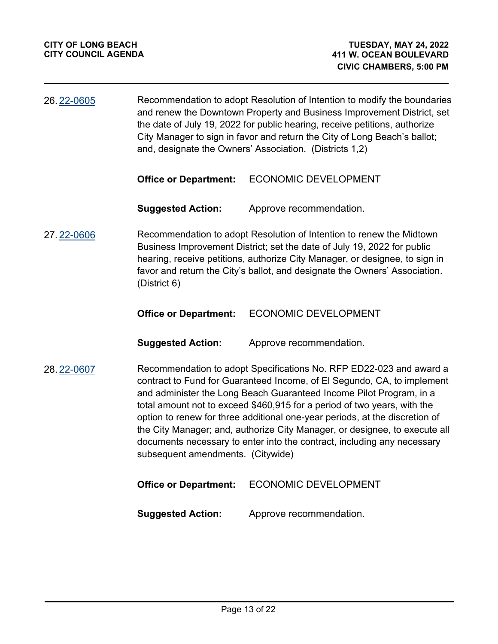| 26.22-0605 | Recommendation to adopt Resolution of Intention to modify the boundaries<br>and renew the Downtown Property and Business Improvement District, set<br>the date of July 19, 2022 for public hearing, receive petitions, authorize<br>City Manager to sign in favor and return the City of Long Beach's ballot;<br>and, designate the Owners' Association. (Districts 1,2)                                                                                                                                                                                                       |                                                                                                                                                                                                                                                                                                              |
|------------|--------------------------------------------------------------------------------------------------------------------------------------------------------------------------------------------------------------------------------------------------------------------------------------------------------------------------------------------------------------------------------------------------------------------------------------------------------------------------------------------------------------------------------------------------------------------------------|--------------------------------------------------------------------------------------------------------------------------------------------------------------------------------------------------------------------------------------------------------------------------------------------------------------|
|            | <b>Office or Department:</b>                                                                                                                                                                                                                                                                                                                                                                                                                                                                                                                                                   | <b>ECONOMIC DEVELOPMENT</b>                                                                                                                                                                                                                                                                                  |
|            | <b>Suggested Action:</b>                                                                                                                                                                                                                                                                                                                                                                                                                                                                                                                                                       | Approve recommendation.                                                                                                                                                                                                                                                                                      |
| 27.22-0606 | (District 6)                                                                                                                                                                                                                                                                                                                                                                                                                                                                                                                                                                   | Recommendation to adopt Resolution of Intention to renew the Midtown<br>Business Improvement District; set the date of July 19, 2022 for public<br>hearing, receive petitions, authorize City Manager, or designee, to sign in<br>favor and return the City's ballot, and designate the Owners' Association. |
|            | <b>Office or Department:</b>                                                                                                                                                                                                                                                                                                                                                                                                                                                                                                                                                   | <b>ECONOMIC DEVELOPMENT</b>                                                                                                                                                                                                                                                                                  |
|            | <b>Suggested Action:</b>                                                                                                                                                                                                                                                                                                                                                                                                                                                                                                                                                       | Approve recommendation.                                                                                                                                                                                                                                                                                      |
| 28.22-0607 | Recommendation to adopt Specifications No. RFP ED22-023 and award a<br>contract to Fund for Guaranteed Income, of El Segundo, CA, to implement<br>and administer the Long Beach Guaranteed Income Pilot Program, in a<br>total amount not to exceed \$460,915 for a period of two years, with the<br>option to renew for three additional one-year periods, at the discretion of<br>the City Manager; and, authorize City Manager, or designee, to execute all<br>documents necessary to enter into the contract, including any necessary<br>subsequent amendments. (Citywide) |                                                                                                                                                                                                                                                                                                              |
|            | <b>Office or Department:</b>                                                                                                                                                                                                                                                                                                                                                                                                                                                                                                                                                   | <b>ECONOMIC DEVELOPMENT</b>                                                                                                                                                                                                                                                                                  |
|            | <b>Suggested Action:</b>                                                                                                                                                                                                                                                                                                                                                                                                                                                                                                                                                       | Approve recommendation.                                                                                                                                                                                                                                                                                      |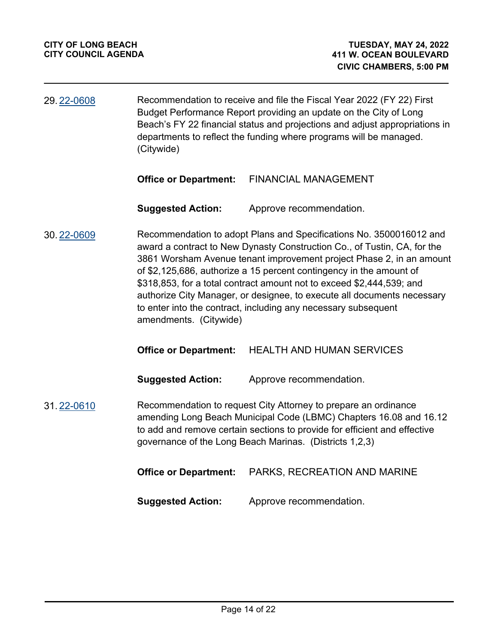| 29.22-0608 | Recommendation to receive and file the Fiscal Year 2022 (FY 22) First       |
|------------|-----------------------------------------------------------------------------|
|            | Budget Performance Report providing an update on the City of Long           |
|            | Beach's FY 22 financial status and projections and adjust appropriations in |
|            | departments to reflect the funding where programs will be managed.          |
|            | (Citywide)                                                                  |

#### **Office or Department:** FINANCIAL MANAGEMENT

**Suggested Action:** Approve recommendation.

Recommendation to adopt Plans and Specifications No. 3500016012 and award a contract to New Dynasty Construction Co., of Tustin, CA, for the 3861 Worsham Avenue tenant improvement project Phase 2, in an amount of \$2,125,686, authorize a 15 percent contingency in the amount of \$318,853, for a total contract amount not to exceed \$2,444,539; and authorize City Manager, or designee, to execute all documents necessary to enter into the contract, including any necessary subsequent amendments. (Citywide) 30. [22-0609](http://longbeach.legistar.com/gateway.aspx?M=L&ID=239551)

#### **Office or Department:** HEALTH AND HUMAN SERVICES

**Suggested Action:** Approve recommendation.

#### Recommendation to request City Attorney to prepare an ordinance amending Long Beach Municipal Code (LBMC) Chapters 16.08 and 16.12 to add and remove certain sections to provide for efficient and effective governance of the Long Beach Marinas. (Districts 1,2,3) 31. [22-0610](http://longbeach.legistar.com/gateway.aspx?M=L&ID=239532)

|                          | <b>Office or Department:</b> PARKS, RECREATION AND MARINE |
|--------------------------|-----------------------------------------------------------|
| <b>Suggested Action:</b> | Approve recommendation.                                   |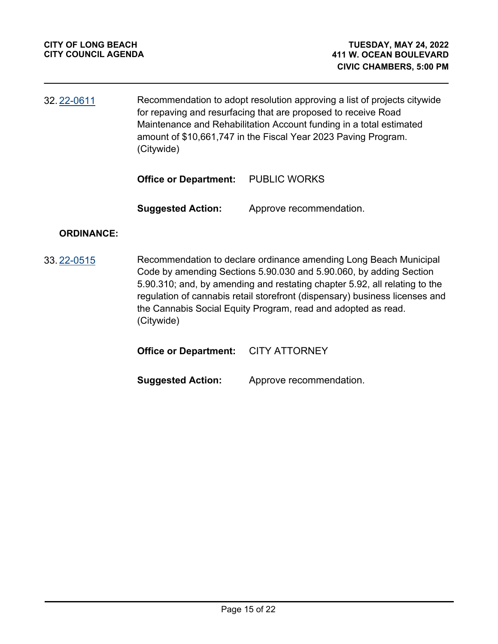Recommendation to adopt resolution approving a list of projects citywide for repaving and resurfacing that are proposed to receive Road Maintenance and Rehabilitation Account funding in a total estimated amount of \$10,661,747 in the Fiscal Year 2023 Paving Program. (Citywide) 32. [22-0611](http://longbeach.legistar.com/gateway.aspx?M=L&ID=239560)

**Office or Department:** PUBLIC WORKS

**Suggested Action:** Approve recommendation.

## **ORDINANCE:**

Recommendation to declare ordinance amending Long Beach Municipal Code by amending Sections 5.90.030 and 5.90.060, by adding Section 5.90.310; and, by amending and restating chapter 5.92, all relating to the regulation of cannabis retail storefront (dispensary) business licenses and the Cannabis Social Equity Program, read and adopted as read. (Citywide) 33. [22-0515](http://longbeach.legistar.com/gateway.aspx?M=L&ID=239457)

**Office or Department:** CITY ATTORNEY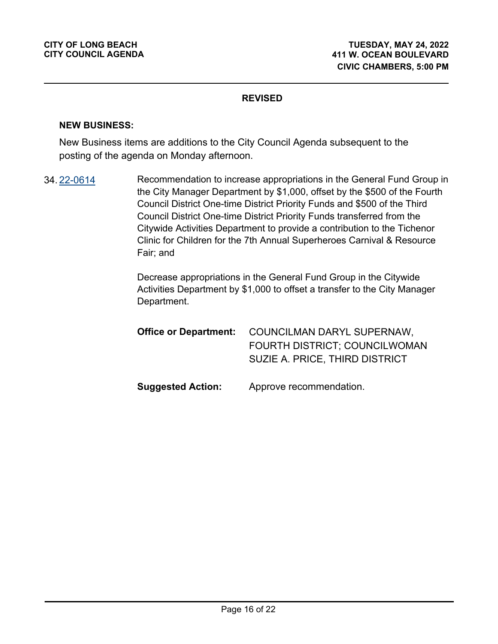#### **NEW BUSINESS:**

New Business items are additions to the City Council Agenda subsequent to the posting of the agenda on Monday afternoon.

Recommendation to increase appropriations in the General Fund Group in the City Manager Department by \$1,000, offset by the \$500 of the Fourth Council District One-time District Priority Funds and \$500 of the Third Council District One-time District Priority Funds transferred from the Citywide Activities Department to provide a contribution to the Tichenor Clinic for Children for the 7th Annual Superheroes Carnival & Resource Fair; and 34. [22-0614](http://longbeach.legistar.com/gateway.aspx?M=L&ID=239691)

> Decrease appropriations in the General Fund Group in the Citywide Activities Department by \$1,000 to offset a transfer to the City Manager Department.

| <b>Office or Department:</b> | COUNCILMAN DARYL SUPERNAW,     |
|------------------------------|--------------------------------|
|                              | FOURTH DISTRICT; COUNCILWOMAN  |
|                              | SUZIE A. PRICE, THIRD DISTRICT |
|                              |                                |
| <b>Suggested Action:</b>     | Approve recommendation.        |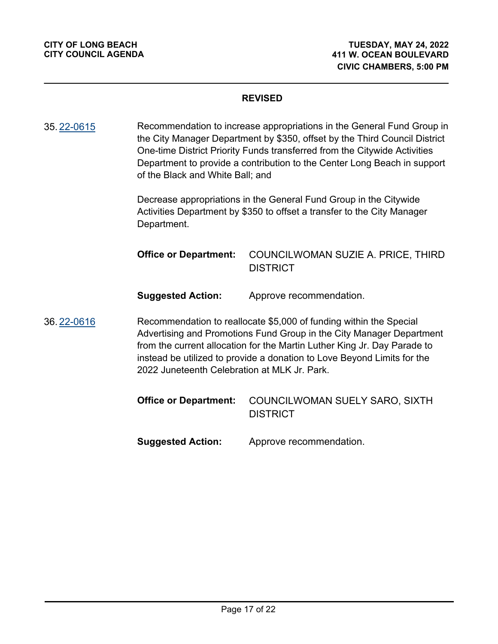Recommendation to increase appropriations in the General Fund Group in the City Manager Department by \$350, offset by the Third Council District One-time District Priority Funds transferred from the Citywide Activities Department to provide a contribution to the Center Long Beach in support of the Black and White Ball; and 35. [22-0615](http://longbeach.legistar.com/gateway.aspx?M=L&ID=239690)

> Decrease appropriations in the General Fund Group in the Citywide Activities Department by \$350 to offset a transfer to the City Manager Department.

COUNCILWOMAN SUZIE A. PRICE, THIRD **DISTRICT Office or Department:**

**Suggested Action:** Approve recommendation.

Recommendation to reallocate \$5,000 of funding within the Special Advertising and Promotions Fund Group in the City Manager Department from the current allocation for the Martin Luther King Jr. Day Parade to instead be utilized to provide a donation to Love Beyond Limits for the 2022 Juneteenth Celebration at MLK Jr. Park. 36. [22-0616](http://longbeach.legistar.com/gateway.aspx?M=L&ID=239696)

> COUNCILWOMAN SUELY SARO, SIXTH **DISTRICT Office or Department:**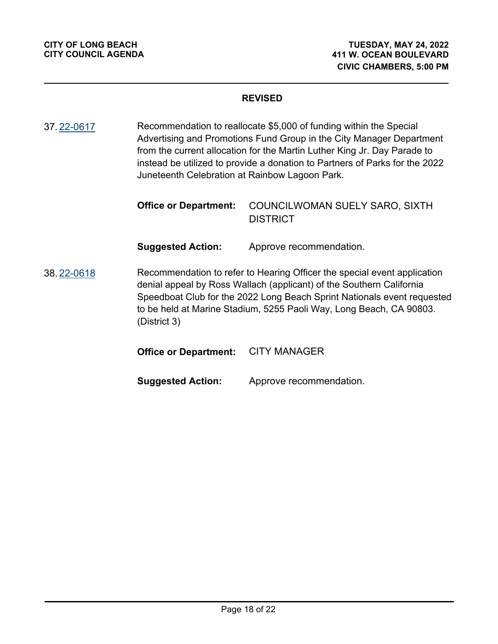Recommendation to reallocate \$5,000 of funding within the Special Advertising and Promotions Fund Group in the City Manager Department from the current allocation for the Martin Luther King Jr. Day Parade to instead be utilized to provide a donation to Partners of Parks for the 2022 Juneteenth Celebration at Rainbow Lagoon Park. 37. [22-0617](http://longbeach.legistar.com/gateway.aspx?M=L&ID=239697)

| <b>Office or Department:</b> COUNCILWOMAN SUELY SARO, SIXTH |
|-------------------------------------------------------------|
| <b>DISTRICT</b>                                             |

**Suggested Action:** Approve recommendation.

Recommendation to refer to Hearing Officer the special event application denial appeal by Ross Wallach (applicant) of the Southern California Speedboat Club for the 2022 Long Beach Sprint Nationals event requested to be held at Marine Stadium, 5255 Paoli Way, Long Beach, CA 90803. (District 3) 38. [22-0618](http://longbeach.legistar.com/gateway.aspx?M=L&ID=239692)

## **Office or Department:** CITY MANAGER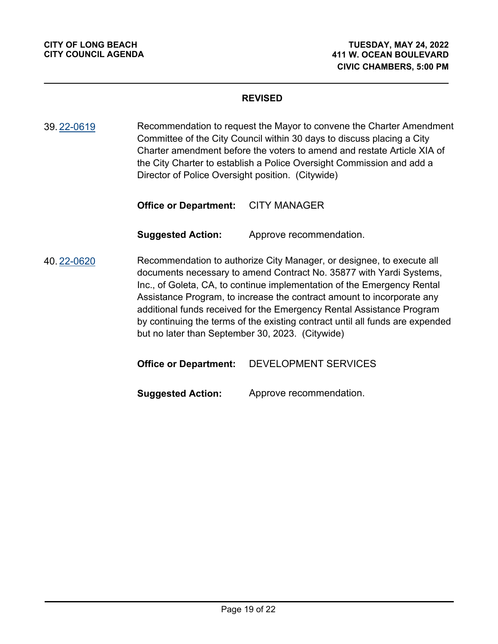Recommendation to request the Mayor to convene the Charter Amendment Committee of the City Council within 30 days to discuss placing a City Charter amendment before the voters to amend and restate Article XIA of the City Charter to establish a Police Oversight Commission and add a Director of Police Oversight position. (Citywide) 39. [22-0619](http://longbeach.legistar.com/gateway.aspx?M=L&ID=239693)

**Office or Department:** CITY MANAGER

**Suggested Action:** Approve recommendation.

Recommendation to authorize City Manager, or designee, to execute all documents necessary to amend Contract No. 35877 with Yardi Systems, Inc., of Goleta, CA, to continue implementation of the Emergency Rental Assistance Program, to increase the contract amount to incorporate any additional funds received for the Emergency Rental Assistance Program by continuing the terms of the existing contract until all funds are expended but no later than September 30, 2023. (Citywide) 40. [22-0620](http://longbeach.legistar.com/gateway.aspx?M=L&ID=239695)

**Office or Department:** DEVELOPMENT SERVICES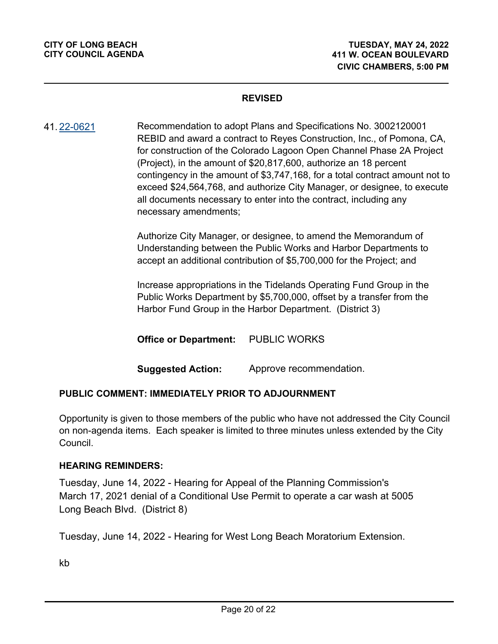Recommendation to adopt Plans and Specifications No. 3002120001 REBID and award a contract to Reyes Construction, Inc., of Pomona, CA, for construction of the Colorado Lagoon Open Channel Phase 2A Project (Project), in the amount of \$20,817,600, authorize an 18 percent contingency in the amount of \$3,747,168, for a total contract amount not to exceed \$24,564,768, and authorize City Manager, or designee, to execute all documents necessary to enter into the contract, including any necessary amendments; 41. [22-0621](http://longbeach.legistar.com/gateway.aspx?M=L&ID=239694)

> Authorize City Manager, or designee, to amend the Memorandum of Understanding between the Public Works and Harbor Departments to accept an additional contribution of \$5,700,000 for the Project; and

> Increase appropriations in the Tidelands Operating Fund Group in the Public Works Department by \$5,700,000, offset by a transfer from the Harbor Fund Group in the Harbor Department. (District 3)

**Office or Department:** PUBLIC WORKS

**Suggested Action:** Approve recommendation.

## **PUBLIC COMMENT: IMMEDIATELY PRIOR TO ADJOURNMENT**

Opportunity is given to those members of the public who have not addressed the City Council on non-agenda items. Each speaker is limited to three minutes unless extended by the City Council.

#### **HEARING REMINDERS:**

Tuesday, June 14, 2022 - Hearing for Appeal of the Planning Commission's March 17, 2021 denial of a Conditional Use Permit to operate a car wash at 5005 Long Beach Blvd. (District 8)

Tuesday, June 14, 2022 - Hearing for West Long Beach Moratorium Extension.

kb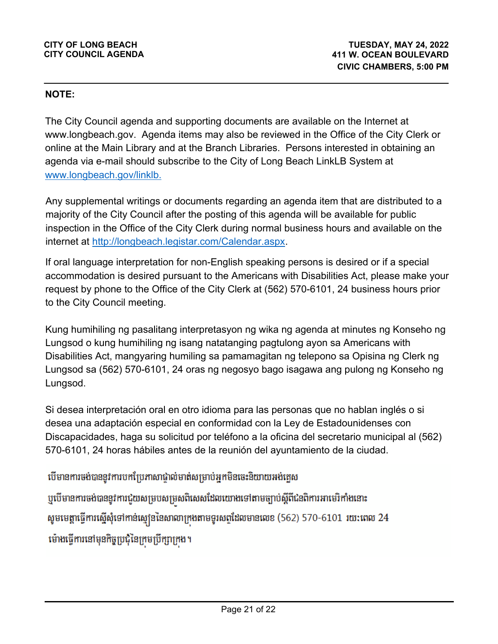## **NOTE:**

The City Council agenda and supporting documents are available on the Internet at www.longbeach.gov. Agenda items may also be reviewed in the Office of the City Clerk or online at the Main Library and at the Branch Libraries. Persons interested in obtaining an agenda via e-mail should subscribe to the City of Long Beach LinkLB System at www.longbeach.gov/linklb.

Any supplemental writings or documents regarding an agenda item that are distributed to a majority of the City Council after the posting of this agenda will be available for public inspection in the Office of the City Clerk during normal business hours and available on the internet at http://longbeach.legistar.com/Calendar.aspx.

If oral language interpretation for non-English speaking persons is desired or if a special accommodation is desired pursuant to the Americans with Disabilities Act, please make your request by phone to the Office of the City Clerk at (562) 570-6101, 24 business hours prior to the City Council meeting.

Kung humihiling ng pasalitang interpretasyon ng wika ng agenda at minutes ng Konseho ng Lungsod o kung humihiling ng isang natatanging pagtulong ayon sa Americans with Disabilities Act, mangyaring humiling sa pamamagitan ng telepono sa Opisina ng Clerk ng Lungsod sa (562) 570-6101, 24 oras ng negosyo bago isagawa ang pulong ng Konseho ng Lungsod.

Si desea interpretación oral en otro idioma para las personas que no hablan inglés o si desea una adaptación especial en conformidad con la Ley de Estadounidenses con Discapacidades, haga su solicitud por teléfono a la oficina del secretario municipal al (562) 570-6101, 24 horas hábiles antes de la reunión del ayuntamiento de la ciudad.

បើមានការចង់បាននូវការបកប្រែភាសាជាល់មាត់សម្រាប់អុកមិនចេះនិយាយអង់គ្លេស

ឬបើមានការចង់បាននូវការជួយសម្របសម្រសពិសេសដែលយោងទៅតាមច្បាប់ស្តីពីជនពិការអាមេរិកាំងនោះ សូមមេត្តាធ្វើការស្នើសុំទៅកាន់ស្មៅននៃសាលាក្រងតាមទូរសព្ទដែលមានលេខ (562) 570-6101 រយ:ពេល 24 ម៉ោងធ្វើការនៅមុនកិច្ចប្រជុំនៃក្រមប្រឹក្សាក្រង។